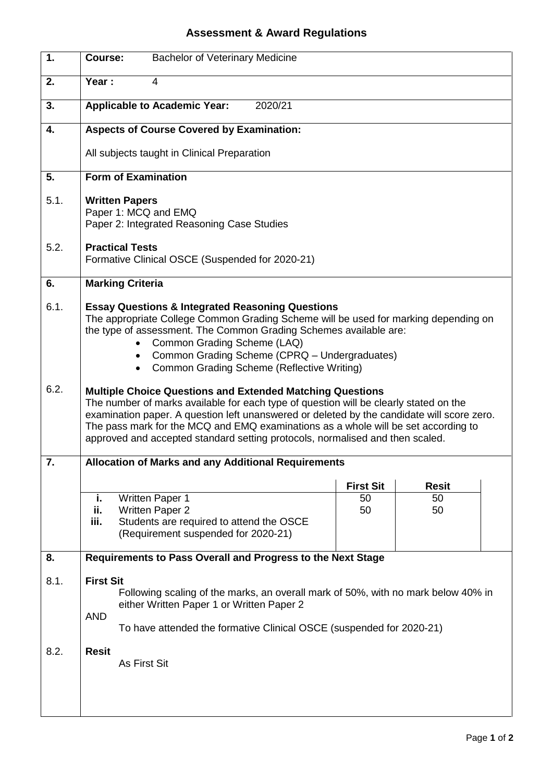## **Assessment & Award Regulations**

| $\overline{1}$ . | <b>Bachelor of Veterinary Medicine</b><br>Course:                                                                                                                                                                                                                                                                                                                                                                              |
|------------------|--------------------------------------------------------------------------------------------------------------------------------------------------------------------------------------------------------------------------------------------------------------------------------------------------------------------------------------------------------------------------------------------------------------------------------|
| 2.               | Year:<br>4                                                                                                                                                                                                                                                                                                                                                                                                                     |
| 3.               | <b>Applicable to Academic Year:</b><br>2020/21                                                                                                                                                                                                                                                                                                                                                                                 |
| 4.               | <b>Aspects of Course Covered by Examination:</b>                                                                                                                                                                                                                                                                                                                                                                               |
|                  | All subjects taught in Clinical Preparation                                                                                                                                                                                                                                                                                                                                                                                    |
| 5.               | <b>Form of Examination</b>                                                                                                                                                                                                                                                                                                                                                                                                     |
| 5.1.             | <b>Written Papers</b><br>Paper 1: MCQ and EMQ<br>Paper 2: Integrated Reasoning Case Studies                                                                                                                                                                                                                                                                                                                                    |
| 5.2.             | <b>Practical Tests</b><br>Formative Clinical OSCE (Suspended for 2020-21)                                                                                                                                                                                                                                                                                                                                                      |
| 6.               | <b>Marking Criteria</b>                                                                                                                                                                                                                                                                                                                                                                                                        |
| 6.1.             | <b>Essay Questions &amp; Integrated Reasoning Questions</b><br>The appropriate College Common Grading Scheme will be used for marking depending on<br>the type of assessment. The Common Grading Schemes available are:<br>Common Grading Scheme (LAQ)<br>Common Grading Scheme (CPRQ - Undergraduates)<br>$\bullet$<br>Common Grading Scheme (Reflective Writing)                                                             |
| 6.2.             | <b>Multiple Choice Questions and Extended Matching Questions</b><br>The number of marks available for each type of question will be clearly stated on the<br>examination paper. A question left unanswered or deleted by the candidate will score zero.<br>The pass mark for the MCQ and EMQ examinations as a whole will be set according to<br>approved and accepted standard setting protocols, normalised and then scaled. |
| $\overline{7}$   | <b>Allocation of Marks and any Additional Requirements</b>                                                                                                                                                                                                                                                                                                                                                                     |
|                  | <b>First Sit</b><br><b>Resit</b>                                                                                                                                                                                                                                                                                                                                                                                               |
|                  | <b>Written Paper 1</b><br>50<br>50<br>j.<br>ii.<br><b>Written Paper 2</b><br>50<br>50<br>Students are required to attend the OSCE<br>iii.<br>(Requirement suspended for 2020-21)                                                                                                                                                                                                                                               |
| 8.               | Requirements to Pass Overall and Progress to the Next Stage                                                                                                                                                                                                                                                                                                                                                                    |
| 8.1.             | <b>First Sit</b><br>Following scaling of the marks, an overall mark of 50%, with no mark below 40% in<br>either Written Paper 1 or Written Paper 2<br><b>AND</b><br>To have attended the formative Clinical OSCE (suspended for 2020-21)                                                                                                                                                                                       |
| 8.2.             | <b>Resit</b><br><b>As First Sit</b>                                                                                                                                                                                                                                                                                                                                                                                            |